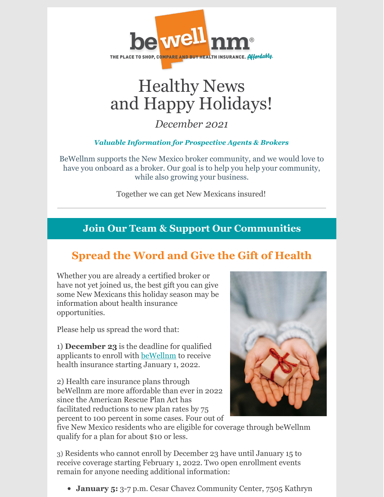

# Healthy News and Happy Holidays!

### *December 2021*

### *Valuable Information for Prospective Agents & Brokers*

BeWellnm supports the New Mexico broker community, and we would love to have you onboard as a broker. Our goal is to help you help your community, while also growing your business.

Together we can get New Mexicans insured!

## **Join Our Team & Support Our Communities**

# **Spread the Word and Give the Gift of Health**

Whether you are already a certified broker or have not yet joined us, the best gift you can give some New Mexicans this holiday season may be information about health insurance opportunities.

Please help us spread the word that:

1) **December 23** is the deadline for qualified applicants to enroll with [beWellnm](https://www.bewellnm.com/) to receive health insurance starting January 1, 2022.

2) Health care insurance plans through beWellnm are more affordable than ever in 2022 since the American Rescue Plan Act has facilitated reductions to new plan rates by 75 percent to 100 percent in some cases. Four out of



five New Mexico residents who are eligible for coverage through beWellnm qualify for a plan for about \$10 or less.

3) Residents who cannot enroll by December 23 have until January 15 to receive coverage starting February 1, 2022. Two open enrollment events remain for anyone needing additional information:

**January 5:** 3-7 p.m. Cesar Chavez Community Center, 7505 Kathryn